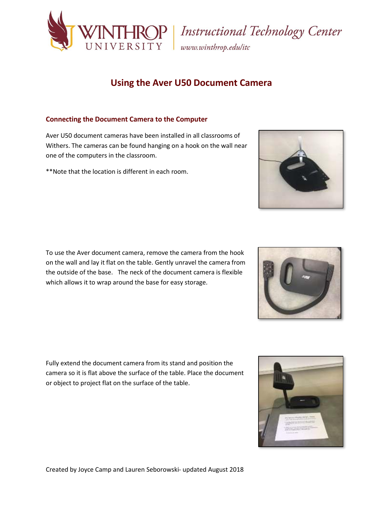

# **Using the Aver U50 Document Camera**

# **Connecting the Document Camera to the Computer**

Aver U50 document cameras have been installed in all classrooms of Withers. The cameras can be found hanging on a hook on the wall near one of the computers in the classroom.

\*\*Note that the location is different in each room.

To use the Aver document camera, remove the camera from the hook on the wall and lay it flat on the table. Gently unravel the camera from the outside of the base. The neck of the document camera is flexible which allows it to wrap around the base for easy storage.

Fully extend the document camera from its stand and position the camera so it is flat above the surface of the table. Place the document or object to project flat on the surface of the table.





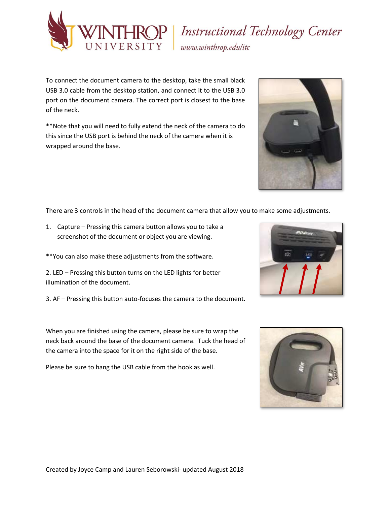

# ROP | Instructional Technology Center<br>SITY | www.winthrop.edu/itc

To connect the document camera to the desktop, take the small black USB 3.0 cable from the desktop station, and connect it to the USB 3.0 port on the document camera. The correct port is closest to the base of the neck.

\*\*Note that you will need to fully extend the neck of the camera to do this since the USB port is behind the neck of the camera when it is wrapped around the base.



- 1. Capture Pressing this camera button allows you to take a screenshot of the document or object you are viewing.
- \*\*You can also make these adjustments from the software.
- 2. LED Pressing this button turns on the LED lights for better illumination of the document.
- 3. AF Pressing this button auto-focuses the camera to the document.

When you are finished using the camera, please be sure to wrap the neck back around the base of the document camera. Tuck the head of the camera into the space for it on the right side of the base.

Please be sure to hang the USB cable from the hook as well.





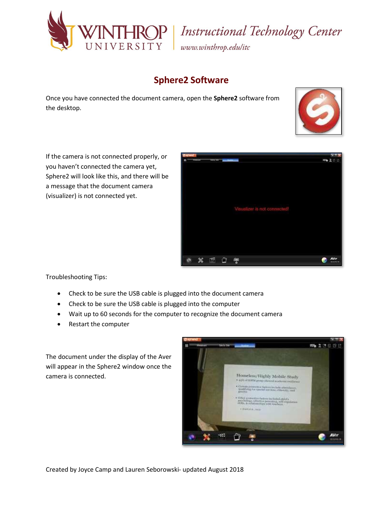

ROP | Instructional Technology Center<br>SITY | www.winthrop.edu/itc

# **Sphere2 Software**

Once you have connected the document camera, open the **Sphere2** software from the desktop.



If the camera is not connected properly, or you haven't connected the camera yet, Sphere2 will look like this, and there will be a message that the document camera (visualizer) is not connected yet.



Troubleshooting Tips:

- Check to be sure the USB cable is plugged into the document camera
- Check to be sure the USB cable is plugged into the computer
- Wait up to 60 seconds for the computer to recognize the document camera
- Restart the computer

The document under the display of the Aver will appear in the Sphere2 window once the camera is connected.

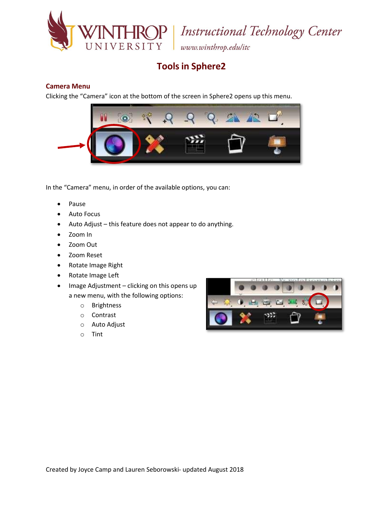

**ROP** | Instructional Technology Center

www.winthrop.edulitc

# **Tools in Sphere2**

# **Camera Menu**

Clicking the "Camera" icon at the bottom of the screen in Sphere2 opens up this menu.



In the "Camera" menu, in order of the available options, you can:

- Pause
- Auto Focus
- Auto Adjust this feature does not appear to do anything.
- Zoom In
- Zoom Out
- Zoom Reset
- Rotate Image Right
- Rotate Image Left
- Image Adjustment clicking on this opens up a new menu, with the following options:
	- o Brightness
	- o Contrast
	- o Auto Adjust
	- o Tint

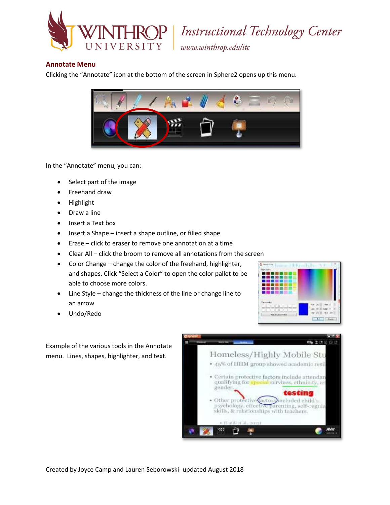

P | Instructional Technology Center

www.winthrop.edulitc

### **Annotate Menu**

Clicking the "Annotate" icon at the bottom of the screen in Sphere2 opens up this menu.



In the "Annotate" menu, you can:

- Select part of the image
- Freehand draw
- Highlight
- Draw a line
- Insert a Text box
- Insert a Shape insert a shape outline, or filled shape
- Erase click to eraser to remove one annotation at a time
- Clear All click the broom to remove all annotations from the screen
- Color Change change the color of the freehand, highlighter, and shapes. Click "Select a Color" to open the color pallet to be able to choose more colors.
- Line Style change the thickness of the line or change line to an arrow
- Undo/Redo



Example of the various tools in the Annotate menu. Lines, shapes, highlighter, and text.

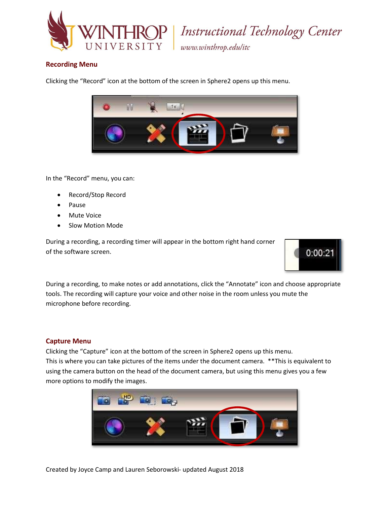

P | Instructional Technology Center

www.winthrop.edulitc

# **Recording Menu**

Clicking the "Record" icon at the bottom of the screen in Sphere2 opens up this menu.



In the "Record" menu, you can:

- Record/Stop Record
- Pause
- Mute Voice
- Slow Motion Mode

During a recording, a recording timer will appear in the bottom right hand corner of the software screen.



During a recording, to make notes or add annotations, click the "Annotate" icon and choose appropriate tools. The recording will capture your voice and other noise in the room unless you mute the microphone before recording.

#### **Capture Menu**

Clicking the "Capture" icon at the bottom of the screen in Sphere2 opens up this menu. This is where you can take pictures of the items under the document camera. \*\*This is equivalent to using the camera button on the head of the document camera, but using this menu gives you a few more options to modify the images.



Created by Joyce Camp and Lauren Seborowski- updated August 2018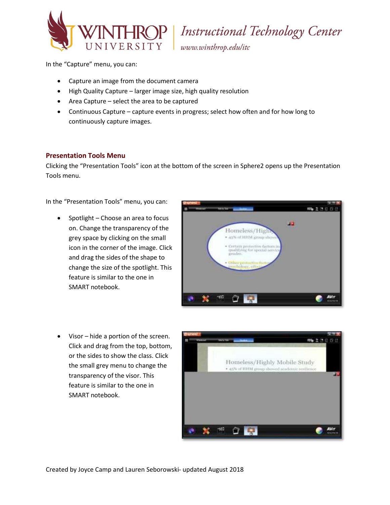

**Instructional Technology Center** 

www.winthrop.edulitc

In the "Capture" menu, you can:

- Capture an image from the document camera
- High Quality Capture larger image size, high quality resolution
- Area Capture select the area to be captured
- Continuous Capture capture events in progress; select how often and for how long to continuously capture images.

### **Presentation Tools Menu**

Clicking the "Presentation Tools" icon at the bottom of the screen in Sphere2 opens up the Presentation Tools menu.

In the "Presentation Tools" menu, you can:

• Spotlight – Choose an area to focus on. Change the transparency of the grey space by clicking on the small icon in the corner of the image. Click and drag the sides of the shape to change the size of the spotlight. This feature is similar to the one in SMART notebook.



 Visor – hide a portion of the screen. Click and drag from the top, bottom, or the sides to show the class. Click the small grey menu to change the transparency of the visor. This feature is similar to the one in SMART notebook.

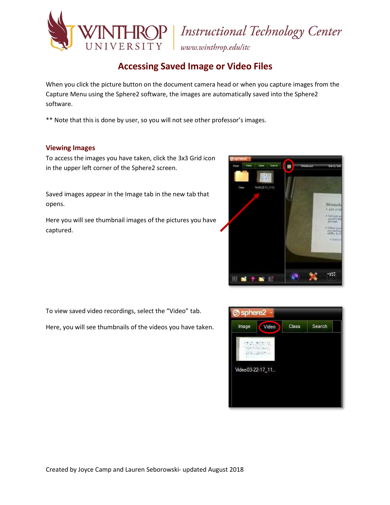

# VERSITY | Instructional Technology Center

# **Accessing Saved Image or Video Files**

When you click the picture button on the document camera head or when you capture images from the Capture Menu using the Sphere2 software, the images are automatically saved into the Sphere2 software.

\*\* Note that this is done by user, so you will not see other professor's images.

### **Viewing Images**

To access the images you have taken, click the 3x3 Grid icon in the upper left corner of the Sphere2 screen.

Saved images appear in the Image tab in the new tab that opens.

Here you will see thumbnail images of the pictures you have captured.



To view saved video recordings, select the "Video" tab.

Here, you will see thumbnails of the videos you have taken.

| Image                      | Video | Class | Search |
|----------------------------|-------|-------|--------|
| 28.5<br>District Co. L. L. |       |       |        |
| $-0.6 -$                   |       |       |        |
| Video03-22-17_11_          |       |       |        |
|                            |       |       |        |
|                            |       |       |        |
|                            |       |       |        |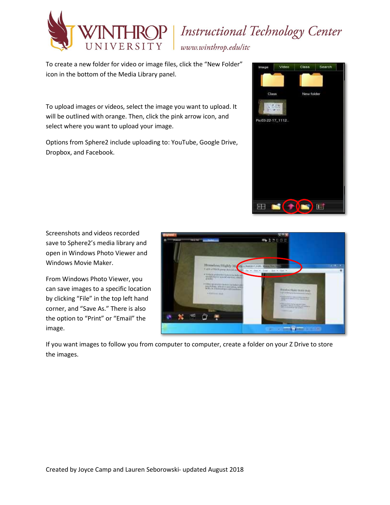

# **Instructional Technology Center**

www.winthrop.edulitc

To create a new folder for video or image files, click the "New Folder" icon in the bottom of the Media Library panel.

To upload images or videos, select the image you want to upload. It will be outlined with orange. Then, click the pink arrow icon, and select where you want to upload your image.

Options from Sphere2 include uploading to: YouTube, Google Drive, Dropbox, and Facebook.



Screenshots and videos recorded save to Sphere2's media library and open in Windows Photo Viewer and Windows Movie Maker.

From Windows Photo Viewer, you can save images to a specific location by clicking "File" in the top left hand corner, and "Save As." There is also the option to "Print" or "Email" the image.



If you want images to follow you from computer to computer, create a folder on your Z Drive to store the images.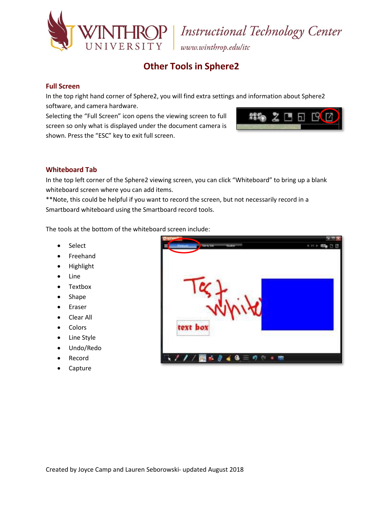

**IROP** Instructional Technology Center

www.winthrop.edulitc

# **Other Tools in Sphere2**

# **Full Screen**

In the top right hand corner of Sphere2, you will find extra settings and information about Sphere2 software, and camera hardware.

Selecting the "Full Screen" icon opens the viewing screen to full screen so only what is displayed under the document camera is shown. Press the "ESC" key to exit full screen.



# **Whiteboard Tab**

In the top left corner of the Sphere2 viewing screen, you can click "Whiteboard" to bring up a blank whiteboard screen where you can add items.

\*\*Note, this could be helpful if you want to record the screen, but not necessarily record in a Smartboard whiteboard using the Smartboard record tools.

The tools at the bottom of the whiteboard screen include:

- Select
- **•** Freehand
- Highlight
- Line
- Textbox
- Shape
- Eraser
- Clear All
- Colors
- Line Style
- Undo/Redo
- Record
- Capture

| <b>Hill Ly</b> Sto<br><b>Weight</b>                                      | $4.11 +$                |
|--------------------------------------------------------------------------|-------------------------|
| Ħ                                                                        | <b>Hills</b><br>G<br>10 |
|                                                                          |                         |
|                                                                          |                         |
|                                                                          |                         |
|                                                                          |                         |
|                                                                          |                         |
|                                                                          |                         |
|                                                                          |                         |
| The production product in the U.S. of the U.S.<br>********************** |                         |
| text box                                                                 |                         |
|                                                                          |                         |
|                                                                          |                         |
|                                                                          |                         |
|                                                                          |                         |